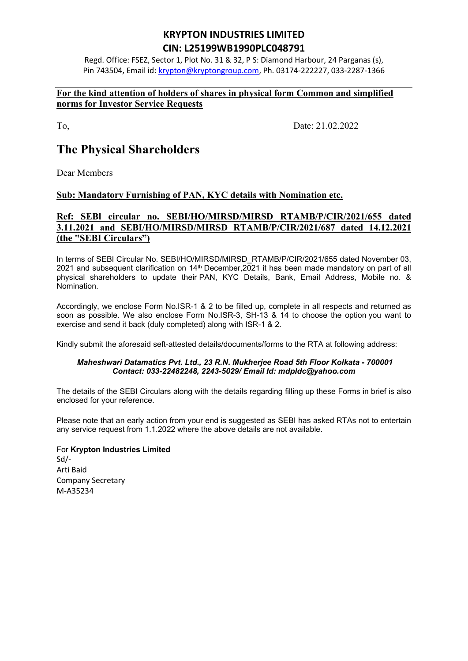# KRYPTON INDUSTRIES LIMITED CIN: L25199WB1990PLC048791

Regd. Office: FSEZ, Sector 1, Plot No. 31 & 32, P S: Diamond Harbour, 24 Parganas (s), Pin 743504, Email id: krypton@kryptongroup.com, Ph. 03174-222227, 033-2287-1366

### For the kind attention of holders of shares in physical form Common and simplified norms for Investor Service Requests

To, Date: 21.02.2022

# The Physical Shareholders

Dear Members

### Sub: Mandatory Furnishing of PAN, KYC details with Nomination etc.

## Ref: SEBl circular no. SEBI/HO/MIRSD/MIRSD RTAMB/P/CIR/2021/655 dated 3.11.2021 and SEBI/HO/MIRSD/MIRSD RTAMB/P/CIR/2021/687 dated 14.12.2021 (the "SEBI Circulars")

In terms of SEBI Circular No. SEBI/HO/MIRSD/MIRSD\_RTAMB/P/CIR/2021/655 dated November 03, 2021 and subsequent clarification on 14th December,2021 it has been made mandatory on part of all physical shareholders to update their PAN, KYC Details, Bank, Email Address, Mobile no. & Nomination.

Accordingly, we enclose Form No.ISR-1 & 2 to be filled up, complete in all respects and returned as soon as possible. We also enclose Form No.ISR-3, SH-13 & 14 to choose the option you want to exercise and send it back (duly completed) along with ISR-1 & 2.

Kindly submit the aforesaid seft-attested details/documents/forms to the RTA at following address:

#### Maheshwari Datamatics Pvt. Ltd., 23 R.N. Mukherjee Road 5th Floor Kolkata - 700001 Contact: 033-22482248, 2243-5029/ Email Id: mdpldc@yahoo.com

The details of the SEBI Circulars along with the details regarding filling up these Forms in brief is also enclosed for your reference.

Please note that an early action from your end is suggested as SEBI has asked RTAs not to entertain any service request from 1.1.2022 where the above details are not available.

For Krypton Industries Limited Sd/- Arti Baid Company Secretary M-A35234